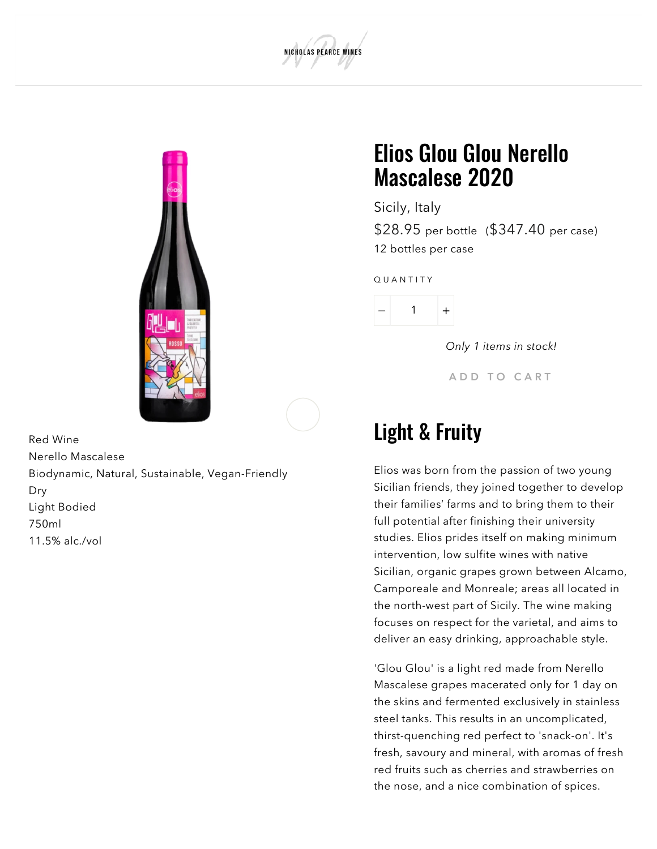Red Wine Nerello Mascalese Biodynamic, Natural, Sustainable, Vegan-Friendly Dry Light Bodied 750ml 11.5% alc./vol

## Elios Glou Glou Nerello Mascalese 2020

Sicily, Italy

NICHOLAS PEARCE WINES

\$28.95 per bottle (\$347.40 per case) 12 bottles per case

Q U A N T I T Y



Only 1 items in stock!

A D D T O CART

## Light & Fruity

Elios was born from the passion of two young Sicilian friends, they joined together to develop their families' farms and to bring them to their full potential after finishing their university studies. Elios prides itself on making minimum intervention, low sulfite wines with native Sicilian, organic grapes grown between Alcamo, Camporeale and Monreale; areas all located in the north-west part of Sicily. The wine making focuses on respect for the varietal, and aims to deliver an easy drinking, approachable style.

'Glou Glou' is a light red made from Nerello Mascalese grapes macerated only for 1 day on the skins and fermented exclusively in stainless steel tanks. This results in an uncomplicated, thirst-quenching red perfect to 'snack-on'. It's fresh, savoury and mineral, with aromas of fresh red fruits such as cherries and strawberries on the nose, and a nice combination of spices.